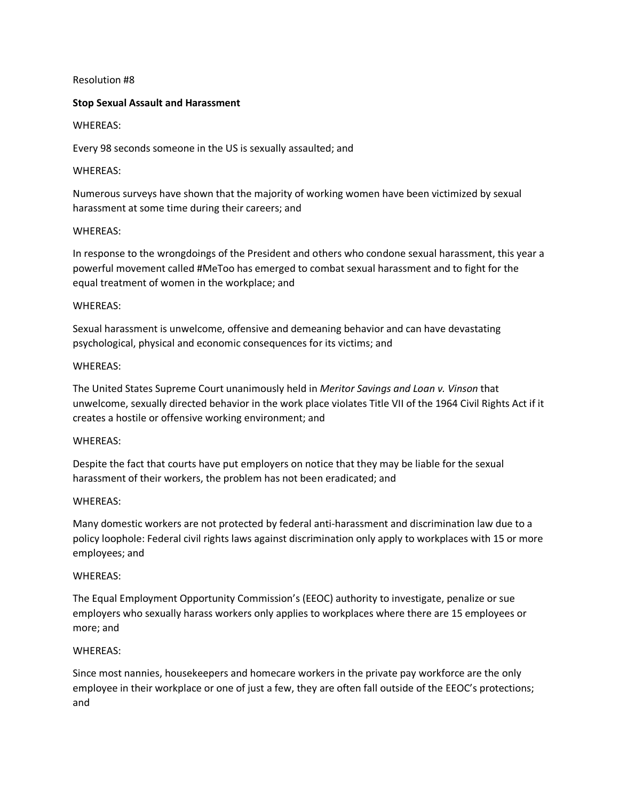## Resolution #8

## **Stop Sexual Assault and Harassment**

## WHEREAS:

Every 98 seconds someone in the US is sexually assaulted; and

## WHEREAS:

Numerous surveys have shown that the majority of working women have been victimized by sexual harassment at some time during their careers; and

## WHEREAS:

In response to the wrongdoings of the President and others who condone sexual harassment, this year a powerful movement called #MeToo has emerged to combat sexual harassment and to fight for the equal treatment of women in the workplace; and

## WHEREAS:

Sexual harassment is unwelcome, offensive and demeaning behavior and can have devastating psychological, physical and economic consequences for its victims; and

## WHEREAS:

The United States Supreme Court unanimously held in *Meritor Savings and Loan v. Vinson* that unwelcome, sexually directed behavior in the work place violates Title VII of the 1964 Civil Rights Act if it creates a hostile or offensive working environment; and

## WHEREAS:

Despite the fact that courts have put employers on notice that they may be liable for the sexual harassment of their workers, the problem has not been eradicated; and

## WHEREAS:

Many domestic workers are not protected by federal anti-harassment and discrimination law due to a policy loophole: Federal civil rights laws against discrimination only apply to workplaces with 15 or more employees; and

#### WHEREAS:

The Equal Employment Opportunity Commission's (EEOC) authority to investigate, penalize or sue employers who sexually harass workers only applies to workplaces where there are 15 employees or more; and

## WHEREAS:

Since most nannies, housekeepers and homecare workers in the private pay workforce are the only employee in their workplace or one of just a few, they are often fall outside of the EEOC's protections; and